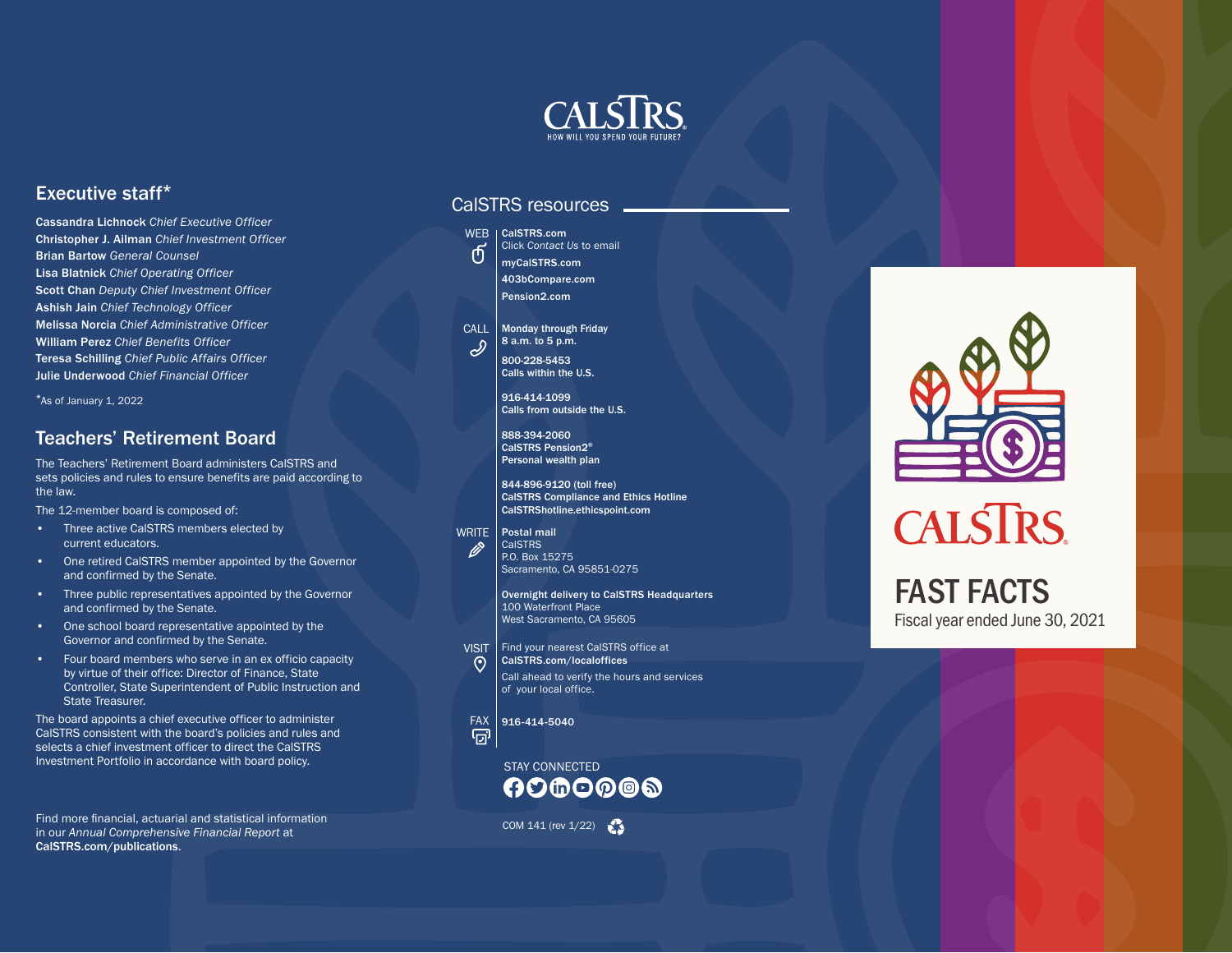

#### Executive staff \*

Cassandra Lichnock *Chief Executive Officer* Christopher J. Ailman *Chief Investment Officer* Brian Bartow *General Counsel* Lisa Blatnick *Chief Operating Officer* Scott Chan *Deputy Chief Investment Officer* Ashish Jain *Chief Technology Officer* Melissa Norcia *Chief Administrative Officer* William Perez *Chief Benefits Officer* Teresa Schilling *Chief Public Affairs Officer* Julie Underwood *Chief Financial Officer*

\*As of January 1, 2022

#### Teachers' Retirement Board

The Teachers' Retirement Board administers CalSTRS and sets policies and rules to ensure benefits are paid according to the law.

The 12-member board is composed of:

- Three active CalSTRS members elected by current educators.
- One retired CalSTRS member appointed by the Governor and confirmed by the Senate.
- Three public representatives appointed by the Governor and confirmed by the Senate.
- One school board representative appointed by the Governor and confirmed by the Senate.
- Four board members who serve in an ex officio capacity by virtue of their office: Director of Finance, State Controller, State Superintendent of Public Instruction and State Treasurer.

The board appoints a chief executive officer to administer CalSTRS consistent with the board's policies and rules and selects a chief investment officer to direct the CalSTRS Investment Portfolio in accordance with board policy.

Find more financial, actuarial and statistical information<br>in our Annual Comprehensive Financial Penert at the statistical information of the statistic COM 141 (rev 1/22) in our *Annual Comprehensive Financial Report* at [CalSTRS.com/publications](http://CalSTRS.com/publications) .

#### CalSTRS resources



CALL | Monday through Friday 8 a.m. to 5 p.m.  $\mathscr{S}$ 800-228-5453 Calls within the U.S.

> 916-414-1099 Calls from outside the U.S.

888-394-2060 CalSTRS Pension2 ® Personal wealth plan

844-896-9120 (toll free) CalSTRS Compliance and Ethics Hotline [CalSTRShotline.ethicspoint.com](http://CalSTRShotline.ethicspoint.com)

WRITE | Postal mail CalSTRS P.O. Box 15275 Sacramento, CA 95851-0275

> Overnight delivery to CalSTRS Headquarters 100 Waterfront Place West Sacramento, CA 95605

VISIT Find your nearest CalSTRS office at



Ø

[CalSTRS.com/localoffice](http://CalSTRS.com/localoffices) s Call ahead to verify the hours and services of your local office.

 $\frac{FAX}{\boxed{7}}$  916-414-5040

STAY CONNECTED **AD®O@®®** 



## **CALSTRS**

### FAST FACTS Fiscal year ended June 30, 2021